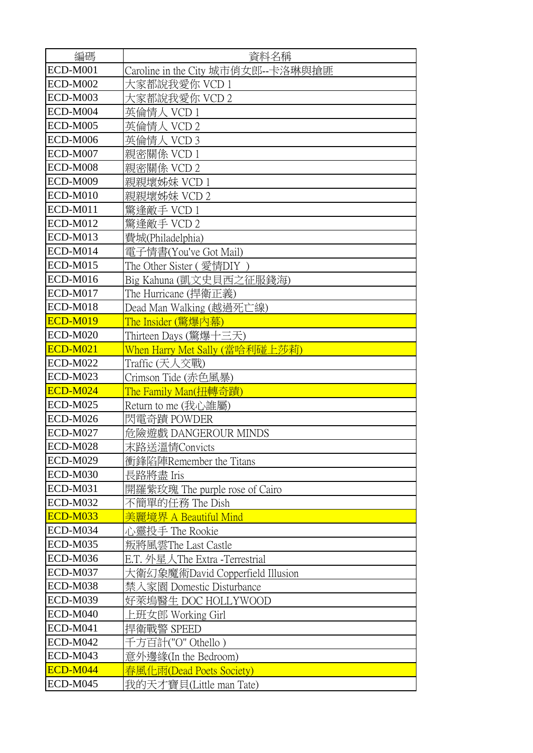| 編碼              | 資料名稱                               |
|-----------------|------------------------------------|
| <b>ECD-M001</b> | Caroline in the City 城市俏女郎--卡洛琳與搶匪 |
| <b>ECD-M002</b> | 大家都說我愛你 VCD 1                      |
| <b>ECD-M003</b> | 大家都說我愛你 VCD 2                      |
| ECD-M004        | 英倫情人 VCD 1                         |
| <b>ECD-M005</b> | 英倫情人 VCD 2                         |
| <b>ECD-M006</b> | 英倫情人 VCD 3                         |
| <b>ECD-M007</b> | 親密關係 VCD 1                         |
| <b>ECD-M008</b> | 親密關係 VCD 2                         |
| <b>ECD-M009</b> | 親親壞姊妹 VCD 1                        |
| ECD-M010        | 親親壞姊妹 VCD 2                        |
| <b>ECD-M011</b> | 驚逢敵手 VCD 1                         |
| <b>ECD-M012</b> | 驚逢敵手 VCD 2                         |
| <b>ECD-M013</b> | 費城(Philadelphia)                   |
| ECD-M014        | 電子情書(You've Got Mail)              |
| <b>ECD-M015</b> | The Other Sister ( 愛情DIY )         |
| <b>ECD-M016</b> | Big Kahuna (凱文史貝西之征服錢海)            |
| <b>ECD-M017</b> | The Hurricane (捍衛正義)               |
| <b>ECD-M018</b> | Dead Man Walking (越過死亡線)           |
| <b>ECD-M019</b> | The Insider (驚爆內幕)                 |
| <b>ECD-M020</b> | Thirteen Days (驚爆十三天)              |
| <b>ECD-M021</b> | When Harry Met Sally (當哈利碰上莎莉)     |
| <b>ECD-M022</b> | Traffic (天人交戰)                     |
| ECD-M023        | Crimson Tide (赤色風暴)                |
| <b>ECD-M024</b> | The Family Man(扭轉奇蹟)               |
| <b>ECD-M025</b> | Return to me (我心誰屬)                |
| <b>ECD-M026</b> | 閃電奇蹟 POWDER                        |
| <b>ECD-M027</b> | 危險遊戲 DANGEROUR MINDS               |
| ECD-M028        | 末路送溫情Convicts                      |
| <b>ECD-M029</b> | 衝鋒陷陣Remember the Titans            |
| ECD-M030        | 長路將盡 Iris                          |
| <b>ECD-M031</b> | 開羅紫玫瑰 The purple rose of Cairo     |
| <b>ECD-M032</b> | 不簡單的任務 The Dish                    |
| <b>ECD-M033</b> | 美麗境界 A Beautiful Mind              |
| ECD-M034        | 心靈投手 The Rookie                    |
| <b>ECD-M035</b> | 叛將風雲The Last Castle                |
| <b>ECD-M036</b> | E.T. 外星人The Extra -Terrestrial     |
| <b>ECD-M037</b> | 大衛幻象魔術David Copperfield Illusion   |
| <b>ECD-M038</b> | 禁入家園 Domestic Disturbance          |
| <b>ECD-M039</b> | 好萊塢醫生 DOC HOLLYWOOD                |
| <b>ECD-M040</b> | ニ班女郎 Working Girl                  |
| <b>ECD-M041</b> | 捍衛戰警 SPEED                         |
| <b>ECD-M042</b> | 方百計("O" Othello)                   |
| <b>ECD-M043</b> | 意外邊緣(In the Bedroom)               |
| <b>ECD-M044</b> | 風化雨(Dead Poets Society)            |
| <b>ECD-M045</b> | 我的天才寶貝(Little man Tate)            |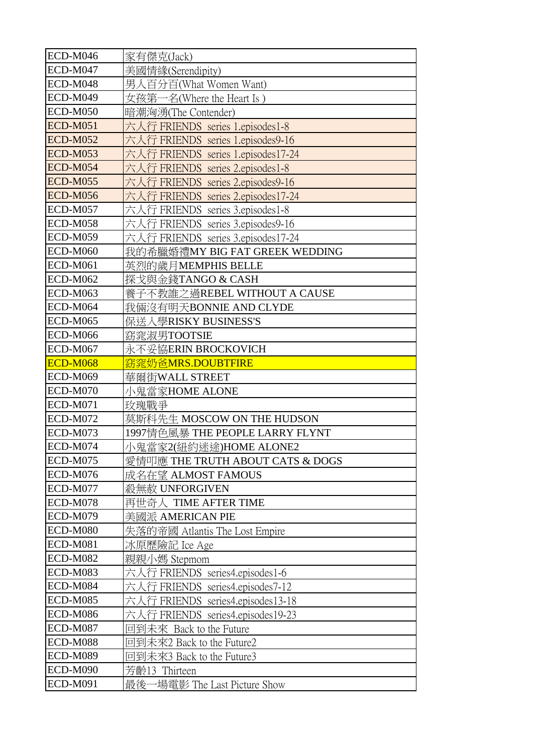| ECD-M046        | 家有傑克(Jack)                         |
|-----------------|------------------------------------|
| ECD-M047        | 美國情緣(Serendipity)                  |
| <b>ECD-M048</b> | 男人百分百(What Women Want)             |
| <b>ECD-M049</b> | 女孩第一名(Where the Heart Is)          |
| <b>ECD-M050</b> | 暗潮洶湧(The Contender)                |
| <b>ECD-M051</b> | 六人行 FRIENDS series 1.episodes1-8   |
| <b>ECD-M052</b> | 六人行 FRIENDS series 1.episodes9-16  |
| <b>ECD-M053</b> | 六人行 FRIENDS series 1.episodes17-24 |
| <b>ECD-M054</b> | 六人行 FRIENDS series 2.episodes1-8   |
| <b>ECD-M055</b> | 六人行 FRIENDS series 2.episodes9-16  |
| <b>ECD-M056</b> | 六人行 FRIENDS series 2.episodes17-24 |
| <b>ECD-M057</b> | 六人行 FRIENDS series 3.episodes1-8   |
| <b>ECD-M058</b> | 六人行 FRIENDS series 3.episodes9-16  |
| <b>ECD-M059</b> | └行 FRIENDS series 3.episodes17-24  |
| <b>ECD-M060</b> | 我的希臘婚禮MY BIG FAT GREEK WEDDING     |
| <b>ECD-M061</b> | 英烈的歲月MEMPHIS BELLE                 |
| <b>ECD-M062</b> | 探戈與金錢TANGO & CASH                  |
| <b>ECD-M063</b> | 養子不教誰之過REBEL WITHOUT A CAUSE       |
| <b>ECD-M064</b> | 我倆沒有明天BONNIE AND CLYDE             |
| <b>ECD-M065</b> | 保送入學RISKY BUSINESS'S               |
| <b>ECD-M066</b> | 窈窕淑男TOOTSIE                        |
| <b>ECD-M067</b> | 永不妥協ERIN BROCKOVICH                |
| <b>ECD-M068</b> | 窈窕奶爸MRS.DOUBTFIRE                  |
| <b>ECD-M069</b> | 華爾街WALL STREET                     |
| ECD-M070        | 小鬼當家HOME ALONE                     |
| <b>ECD-M071</b> | 玫瑰戰爭                               |
| ECD-M072        | 莫斯科先生 MOSCOW ON THE HUDSON         |
| <b>ECD-M073</b> | 1997情色風暴 THE PEOPLE LARRY FLYNT    |
|                 |                                    |
| ECD-M074        | 小鬼當家2(紐約迷途)HOME ALONE2             |
| <b>ECD-M075</b> | 愛情叩應 THE TRUTH ABOUT CATS & DOGS   |
| <b>ECD-M076</b> | 成名在望 ALMOST FAMOUS                 |
| ECD-M077        | 殺無赦 UNFORGIVEN                     |
| ECD-M078        | 再世奇人 TIME AFTER TIME               |
| ECD-M079        | 美國派 AMERICAN PIE                   |
| <b>ECD-M080</b> | 失落的帝國 Atlantis The Lost Empire     |
| <b>ECD-M081</b> | 冰原歷險記 Ice Age                      |
| <b>ECD-M082</b> | 親親小媽 Stepmom                       |
| <b>ECD-M083</b> | 六人行 FRIENDS series4.episodes1-6    |
| ECD-M084        | 六人行 FRIENDS series4.episodes7-12   |
| <b>ECD-M085</b> | 六人行 FRIENDS series4.episodes13-18  |
| <b>ECD-M086</b> | FRIENDS series4.episodes19-23      |
| <b>ECD-M087</b> | 回到未來 Back to the Future            |
| <b>ECD-M088</b> | 回到未來2 Back to the Future2          |
| <b>ECD-M089</b> | 回到未來3 Back to the Future3          |
| <b>ECD-M090</b> | 芳齡13 Thirteen                      |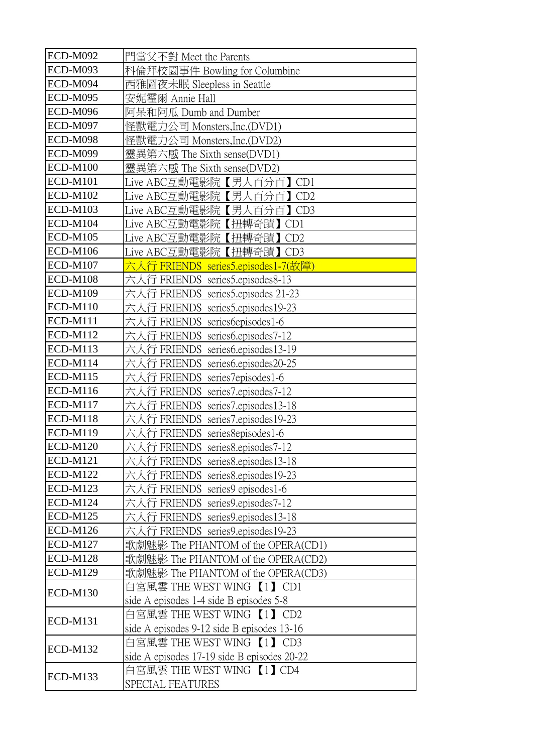| <b>ECD-M092</b> | 門當父不對 Meet the Parents                      |
|-----------------|---------------------------------------------|
| <b>ECD-M093</b> | 科倫拜校園事件 Bowling for Columbine               |
| ECD-M094        | 西雅圖夜未眠 Sleepless in Seattle                 |
| <b>ECD-M095</b> | 安妮霍爾 Annie Hall                             |
| ECD-M096        | 阿呆和阿瓜 Dumb and Dumber                       |
| <b>ECD-M097</b> | 怪獸電力公司 Monsters,Inc.(DVD1)                  |
| <b>ECD-M098</b> | 怪獸電力公司 Monsters,Inc.(DVD2)                  |
| <b>ECD-M099</b> | 靈異第六感 The Sixth sense(DVD1)                 |
| <b>ECD-M100</b> | 靈異第六感 The Sixth sense(DVD2)                 |
| <b>ECD-M101</b> | Live ABC互動電影院【男人百分百】CD1                     |
| <b>ECD-M102</b> | Live ABC互動電影院【男人百分百】CD2                     |
| <b>ECD-M103</b> | Live ABC互動電影院【男人百分百<br>ICD3                 |
| <b>ECD-M104</b> | Live ABC互動電影院【扭轉奇蹟】<br>CD <sub>1</sub>      |
| <b>ECD-M105</b> | Live ABC互動電影院【扭轉奇蹟】<br>CD2                  |
| <b>ECD-M106</b> | Live ABC互動電影院【扭轉奇蹟】CD3                      |
| <b>ECD-M107</b> | 六人行 FRIENDS series5.episodes1-7(故障)         |
| <b>ECD-M108</b> | └行 FRIENDS series5.episodes8-13             |
| <b>ECD-M109</b> | 六丿<br>人行 FRIENDS series5.episodes 21-23     |
| <b>ECD-M110</b> | 六人行 FRIENDS series5.episodes19-23           |
| <b>ECD-M111</b> | 六人行 FRIENDS series6episodes1-6              |
| <b>ECD-M112</b> | 行 FRIENDS series6.episodes7-12              |
| <b>ECD-M113</b> | FRIENDS series6.episodes13-19               |
| <b>ECD-M114</b> | FRIENDS series6.episodes20-25<br>T          |
| <b>ECD-M115</b> | FRIENDS series7episodes1-6<br>バノ            |
| <b>ECD-M116</b> | 六人行<br>FRIENDS series7.episodes7-12         |
| <b>ECD-M117</b> | FRIENDS series7.episodes13-18               |
| <b>ECD-M118</b> | FRIENDS series7.episodes19-23               |
| <b>ECD-M119</b> | 六人行 FRIENDS series8episodes1-6              |
| <b>ECD-M120</b> | 六人行 FRIENDS series8.episodes7-12            |
| <b>ECD-M121</b> | 六人行 FRIENDS series8.episodes13-18           |
| <b>ECD-M122</b> | 行 FRIENDS series8.episodes19-23             |
| <b>ECD-M123</b> | └行 FRIENDS series9 episodes1-6              |
| <b>ECD-M124</b> | 六人行 FRIENDS series9.episodes7-12            |
| <b>ECD-M125</b> | 六人行 FRIENDS series9.episodes13-18           |
| ECD-M126        | 六人行 FRIENDS series9.episodes19-23           |
| <b>ECD-M127</b> | 歌劇魅影 The PHANTOM of the OPERA(CD1)          |
| <b>ECD-M128</b> | 歌劇魅影 The PHANTOM of the OPERA(CD2)          |
| <b>ECD-M129</b> | 歌劇魅影 The PHANTOM of the OPERA(CD3)          |
| <b>ECD-M130</b> | 白宮風雲 THE WEST WING 【1】 CD1                  |
|                 | side A episodes 1-4 side B episodes 5-8     |
| <b>ECD-M131</b> | 白宮風雲 THE WEST WING 【1】 CD2                  |
|                 | side A episodes 9-12 side B episodes 13-16  |
| <b>ECD-M132</b> | 白宮風雲 THE WEST WING 【1】 CD3                  |
|                 | side A episodes 17-19 side B episodes 20-22 |
| <b>ECD-M133</b> | 白宮風雲 THE WEST WING 【1】 CD4                  |
|                 | SPECIAL FEATURES                            |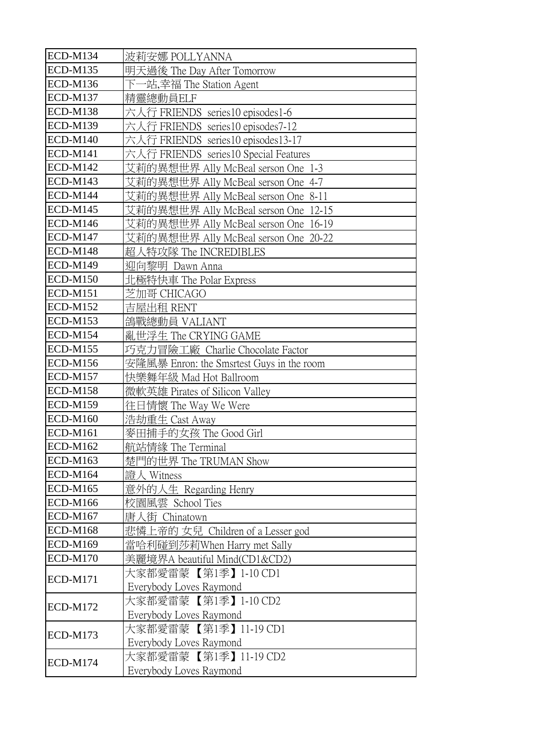| <b>ECD-M134</b> | 波莉安娜 POLLYANNA                            |
|-----------------|-------------------------------------------|
| <b>ECD-M135</b> | 明天過後 The Day After Tomorrow               |
| <b>ECD-M136</b> | 下一站,幸福 The Station Agent                  |
| <b>ECD-M137</b> | 精靈總動員ELF                                  |
| <b>ECD-M138</b> | 六人行 FRIENDS series10 episodes1-6          |
| <b>ECD-M139</b> | 六人行 FRIENDS series10 episodes7-12         |
| <b>ECD-M140</b> | 六人行 FRIENDS series10 episodes13-17        |
| <b>ECD-M141</b> | 六人行 FRIENDS series10 Special Features     |
| <b>ECD-M142</b> | 艾莉的異想世界 Ally McBeal serson One 1-3        |
| <b>ECD-M143</b> | 艾莉的異想世界 Ally McBeal serson One 4-7        |
| <b>ECD-M144</b> | 艾莉的異想世界 Ally McBeal serson One 8-11       |
| <b>ECD-M145</b> | 艾莉的異想世界 Ally McBeal serson One 12-15      |
| <b>ECD-M146</b> | 艾莉的異想世界 Ally McBeal serson One 16-19      |
| <b>ECD-M147</b> | 艾莉的異想世界 Ally McBeal serson One 20-22      |
| <b>ECD-M148</b> | 超人特攻隊 The INCREDIBLES                     |
| <b>ECD-M149</b> | 迎向黎明 Dawn Anna                            |
| <b>ECD-M150</b> | 北極特快車 The Polar Express                   |
| <b>ECD-M151</b> | 芝加哥 CHICAGO                               |
| <b>ECD-M152</b> | 吉屋出租 RENT                                 |
| <b>ECD-M153</b> | 鴿戰總動員 VALIANT                             |
| <b>ECD-M154</b> | 亂世浮生 The CRYING GAME                      |
| <b>ECD-M155</b> | 巧克力冒險工廠 Charlie Chocolate Factor          |
| <b>ECD-M156</b> | 安隆風暴 Enron: the Smsrtest Guys in the room |
| <b>ECD-M157</b> | 快樂舞年級 Mad Hot Ballroom                    |
| <b>ECD-M158</b> | 微軟英雄 Pirates of Silicon Valley            |
| <b>ECD-M159</b> | 往日情懷 The Way We Were                      |
| <b>ECD-M160</b> | 浩劫重生 Cast Away                            |
| <b>ECD-M161</b> | 麥田捕手的女孩 The Good Girl                     |
| <b>ECD-M162</b> | 航站情緣 The Terminal                         |
| <b>ECD-M163</b> | 楚門的世界 The TRUMAN Show                     |
| <b>ECD-M164</b> | 證人 Witness                                |
| <b>ECD-M165</b> | 意外的人生 Regarding Henry                     |
| <b>ECD-M166</b> | 校園風雲 School Ties                          |
| <b>ECD-M167</b> | 唐人街 Chinatown                             |
| <b>ECD-M168</b> | 悲憐上帝的 女兒 Children of a Lesser god         |
| <b>ECD-M169</b> | 當哈利碰到莎莉When Harry met Sally               |
| <b>ECD-M170</b> | 美麗境界A beautiful Mind(CD1&CD2)             |
| <b>ECD-M171</b> | 大家都愛雷蒙 【第1季】1-10 CD1                      |
|                 | Everybody Loves Raymond                   |
| <b>ECD-M172</b> | 大家都愛雷蒙 【第1季】1-10 CD2                      |
|                 | Everybody Loves Raymond                   |
| <b>ECD-M173</b> | 大家都愛雷蒙 【第1季】11-19 CD1                     |
|                 | Everybody Loves Raymond                   |
| <b>ECD-M174</b> | 大家都愛雷蒙 【第1季】11-19 CD2                     |
|                 | Everybody Loves Raymond                   |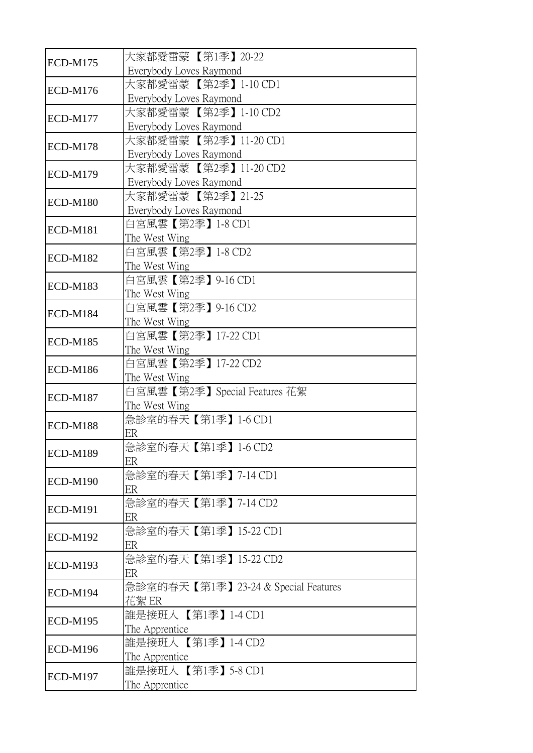| <b>ECD-M175</b> | 大家都愛雷蒙【第1季】20-22<br>Everybody Loves Raymond      |
|-----------------|--------------------------------------------------|
| <b>ECD-M176</b> | 大家都愛雷蒙 【第2季】1-10 CD1<br>Everybody Loves Raymond  |
| <b>ECD-M177</b> | 大家都愛雷蒙 【第2季】1-10 CD2<br>Everybody Loves Raymond  |
| <b>ECD-M178</b> | 大家都愛雷蒙 【第2季】11-20 CD1<br>Everybody Loves Raymond |
| <b>ECD-M179</b> | 大家都愛雷蒙 【第2季】11-20 CD2<br>Everybody Loves Raymond |
| <b>ECD-M180</b> | 大家都愛雷蒙 【第2季】21-25<br>Everybody Loves Raymond     |
| <b>ECD-M181</b> | 白宮風雲【第2季】1-8 CD1<br>The West Wing                |
| <b>ECD-M182</b> | 白宮風雲【第2季】1-8 CD2<br>The West Wing                |
| <b>ECD-M183</b> | 白宮風雲【第2季】 9-16 CD1<br>The West Wing              |
| <b>ECD-M184</b> | 白宮風雲【第2季】9-16 CD2<br>The West Wing               |
| <b>ECD-M185</b> | 白宮風雲【第2季】17-22 CD1<br>The West Wing              |
| <b>ECD-M186</b> | 白宮風雲【第2季】17-22 CD2<br>The West Wing              |
| <b>ECD-M187</b> | 白宮風雲【第2季】Special Features 花絮<br>The West Wing    |
| <b>ECD-M188</b> | 急診室的春天【第1季】1-6 CD1<br>ER                         |
| <b>ECD-M189</b> | 急診室的春天【第1季】1-6 CD2<br>ER                         |
| <b>ECD-M190</b> | 急診室的春天【第1季】7-14 CD1<br>ER                        |
| <b>ECD-M191</b> | 急診室的春天【第1季】7-14 CD2<br>ER                        |
| <b>ECD-M192</b> | 急診室的春天【第1季】15-22 CD1<br>ER                       |
| <b>ECD-M193</b> | 急診室的春天【第1季】15-22 CD2<br>ER                       |
| <b>ECD-M194</b> | 急診室的春天【第1季】23-24 & Special Features<br>花絮 ER     |
| <b>ECD-M195</b> | 誰是接班人【第1季】1-4 CD1<br>The Apprentice              |
| <b>ECD-M196</b> | 誰是接班人【第1季】1-4 CD2<br>The Apprentice              |
| <b>ECD-M197</b> | 誰是接班人 【第1季】5-8 CD1<br>The Apprentice             |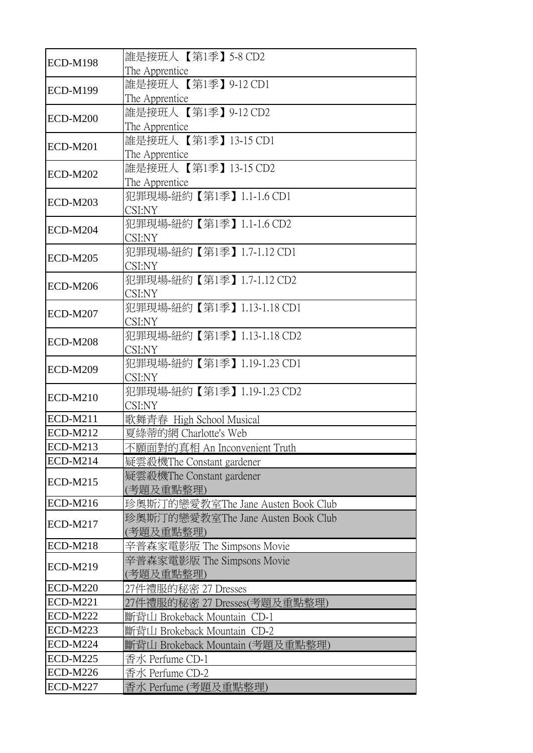| <b>ECD-M198</b> | 誰是接班人【第1季】5-8 CD2<br>The Apprentice             |
|-----------------|-------------------------------------------------|
| <b>ECD-M199</b> | 誰是接班人【第1季】9-12 CD1<br>The Apprentice            |
| <b>ECD-M200</b> | 誰是接班人【第1季】9-12 CD2<br>The Apprentice            |
| <b>ECD-M201</b> | 誰是接班人【第1季】13-15 CD1<br>The Apprentice           |
| <b>ECD-M202</b> | 誰是接班人【第1季】13-15 CD2<br>The Apprentice           |
| <b>ECD-M203</b> | 犯罪現場-紐約【第1季】1.1-1.6 CD1<br>CSI:NY               |
| ECD-M204        | 犯罪現場-紐約【第1季】1.1-1.6 CD2<br>CSI:NY               |
| <b>ECD-M205</b> | 犯罪現場-紐約【第1季】1.7-1.12 CD1<br>CSI:NY              |
| <b>ECD-M206</b> | 犯罪現場-紐約【第1季】1.7-1.12 CD2<br>CSI:NY              |
| <b>ECD-M207</b> | 犯罪現場-紐約【第1季】1.13-1.18 CD1<br>CSI:NY             |
| <b>ECD-M208</b> | 犯罪現場-紐約【第1季】1.13-1.18 CD2<br>CSI:NY             |
| <b>ECD-M209</b> | 犯罪現場-紐約【第1季】1.19-1.23 CD1<br>CSI:NY             |
| <b>ECD-M210</b> | 犯罪現場-紐約【第1季】1.19-1.23 CD2<br>CSI:NY             |
| <b>ECD-M211</b> | 歌舞青春 High School Musical                        |
| <b>ECD-M212</b> | 夏綠蒂的網 Charlotte's Web                           |
| <b>ECD-M213</b> | 不願面對的真相 An Inconvenient Truth                   |
| <b>ECD-M214</b> | 疑雲殺機The Constant gardener                       |
| <b>ECD-M215</b> | 疑雲殺機The Constant gardener<br>(考題及重點整理)          |
| <b>ECD-M216</b> | 珍奧斯汀的戀愛教室The Jane Austen Book Club              |
| <b>ECD-M217</b> | 珍奧斯汀的戀愛教室The Jane Austen Book Club<br>(考題及重點整理) |
| <b>ECD-M218</b> | 辛普森家電影版 The Simpsons Movie                      |
| <b>ECD-M219</b> | 辛普森家電影版 The Simpsons Movie<br>(考題及重點整理)         |
| <b>ECD-M220</b> | 27件禮服的秘密 27 Dresses                             |
| <b>ECD-M221</b> | 27件禮服的秘密 27 Dresses(考題及重點整理)                    |
| <b>ECD-M222</b> | 斷背山 Brokeback Mountain CD-1                     |
| <b>ECD-M223</b> | 斷背山 Brokeback Mountain CD-2                     |
| <b>ECD-M224</b> | 斷背山 Brokeback Mountain (考題及重點整理)                |
| <b>ECD-M225</b> | 香水 Perfume CD-1                                 |
| <b>ECD-M226</b> | 香水 Perfume CD-2                                 |
| <b>ECD-M227</b> | 香水 Perfume (考題及重點整理)                            |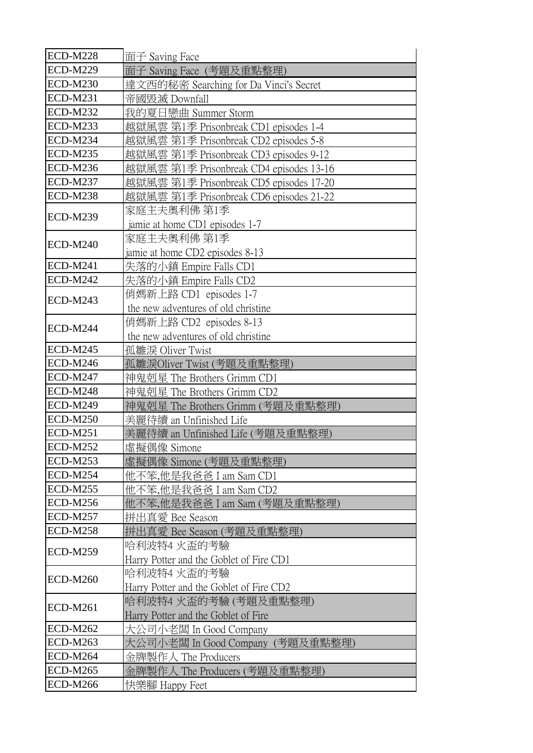| <b>ECD-M228</b> | 面子 Saving Face                          |
|-----------------|-----------------------------------------|
| <b>ECD-M229</b> | 面子 Saving Face(考題及重點整理)                 |
| <b>ECD-M230</b> | 達文西的秘密 Searching for Da Vinci's Secret  |
| <b>ECD-M231</b> | 帝國毁滅 Downfall                           |
| <b>ECD-M232</b> | 我的夏日戀曲 Summer Storm                     |
| <b>ECD-M233</b> | 越獄風雲 第1季 Prisonbreak CD1 episodes 1-4   |
| <b>ECD-M234</b> | 越獄風雲 第1季 Prisonbreak CD2 episodes 5-8   |
| <b>ECD-M235</b> | 越獄風雲 第1季 Prisonbreak CD3 episodes 9-12  |
| <b>ECD-M236</b> | 越獄風雲 第1季 Prisonbreak CD4 episodes 13-16 |
| <b>ECD-M237</b> | 越獄風雲 第1季 Prisonbreak CD5 episodes 17-20 |
| <b>ECD-M238</b> | 越獄風雲 第1季 Prisonbreak CD6 episodes 21-22 |
| <b>ECD-M239</b> | 家庭主夫奧利佛 第1季                             |
|                 | jamie at home CD1 episodes 1-7          |
| <b>ECD-M240</b> | 家庭主夫奧利佛 第1季                             |
|                 | jamie at home CD2 episodes 8-13         |
| <b>ECD-M241</b> | 失落的小鎮 Empire Falls CD1                  |
| <b>ECD-M242</b> | 失落的小鎮 Empire Falls CD2                  |
| <b>ECD-M243</b> | 俏媽新上路 CD1 episodes 1-7                  |
|                 | the new adventures of old christine     |
| <b>ECD-M244</b> | 俏媽新上路 CD2 episodes 8-13                 |
|                 | the new adventures of old christine     |
| <b>ECD-M245</b> | 孤雛淚 Oliver Twist                        |
| <b>ECD-M246</b> | 孤雛淚Oliver Twist (考題及重點整理)               |
| <b>ECD-M247</b> | 神鬼剋星 The Brothers Grimm CD1             |
| <b>ECD-M248</b> | 神鬼剋星 The Brothers Grimm CD2             |
| <b>ECD-M249</b> | 神鬼剋星 The Brothers Grimm (考題及重點整理)       |
| <b>ECD-M250</b> | 美麗待續 an Unfinished Life                 |
| <b>ECD-M251</b> | 美麗待續 an Unfinished Life (考題及重點整理)       |
| <b>ECD-M252</b> | 虛擬偶像 Simone                             |
| <b>ECD-M253</b> | 虛擬偶像 Simone (考題及重點整理)                   |
| <b>ECD-M254</b> | 他不笨,他是我爸爸 I am Sam CD1                  |
| <b>ECD-M255</b> | 他不笨,他是我爸爸 I am Sam CD2                  |
| <b>ECD-M256</b> | 他不笨,他是我爸爸 I am Sam (考題及重點整理)            |
| <b>ECD-M257</b> | 拼出真愛 Bee Season                         |
| <b>ECD-M258</b> | 拼出真愛 Bee Season (考題及重點整理)               |
| <b>ECD-M259</b> | 哈利波特4 火盃的考驗                             |
|                 | Harry Potter and the Goblet of Fire CD1 |
| <b>ECD-M260</b> | 哈利波特4 火盃的考驗                             |
|                 | Harry Potter and the Goblet of Fire CD2 |
| <b>ECD-M261</b> | 哈利波特4 火盃的考驗 (考題及重點整理)                   |
|                 | Harry Potter and the Goblet of Fire     |
| <b>ECD-M262</b> | 大公司小老闆 In Good Company                  |
| <b>ECD-M263</b> | 大公司小老闆 In Good Company(考題及重點整理)         |
| <b>ECD-M264</b> | 金牌製作人 The Producers                     |
| <b>ECD-M265</b> | 金牌製作人 The Producers (考題及重點整理)           |
| <b>ECD-M266</b> | 快樂腳 Happy Feet                          |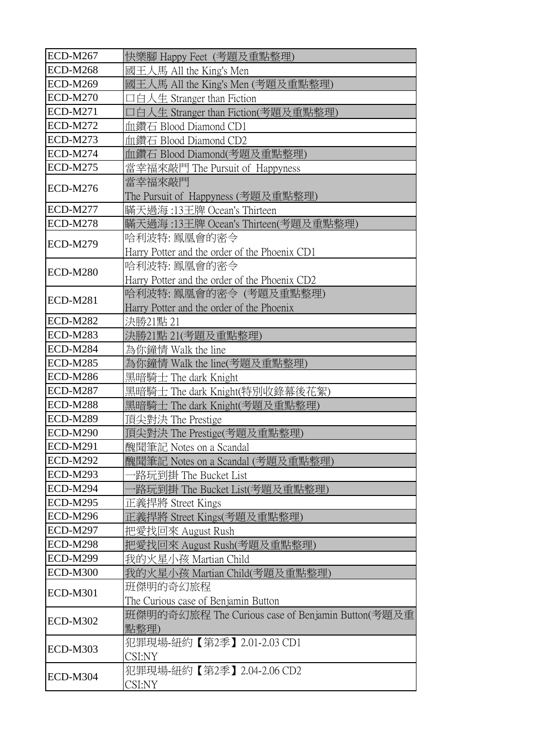| <b>ECD-M267</b> | 快樂腳 Happy Feet (考題及重點整理)                                            |
|-----------------|---------------------------------------------------------------------|
| <b>ECD-M268</b> | 國王人馬 All the King's Men                                             |
| <b>ECD-M269</b> | 國王人馬 All the King's Men (考題及重點整理)                                   |
| <b>ECD-M270</b> | コ白人生 Stranger than Fiction                                          |
| <b>ECD-M271</b> | 口白人生 Stranger than Fiction(考題及重點整理)                                 |
| <b>ECD-M272</b> | 血鑽石 Blood Diamond CD1                                               |
| <b>ECD-M273</b> | 血鑽石 Blood Diamond CD2                                               |
| ECD-M274        | 血鑽石 Blood Diamond(考題及重點整理)                                          |
| <b>ECD-M275</b> | 當幸福來敲門 The Pursuit of Happyness                                     |
| <b>ECD-M276</b> | 當幸福來敲門<br>The Pursuit of Happyness (考題及重點整理)                        |
| <b>ECD-M277</b> | 瞞天過海 :13王牌 Ocean's Thirteen                                         |
| <b>ECD-M278</b> | 瞞天過海:13王牌 Ocean's Thirteen(考題及重點整理)                                 |
| <b>ECD-M279</b> | 哈利波特: 鳳凰會的密令<br>Harry Potter and the order of the Phoenix CD1       |
| <b>ECD-M280</b> | 哈利波特: 鳳凰會的密令<br>Harry Potter and the order of the Phoenix CD2       |
| <b>ECD-M281</b> | 哈利波特: 鳳凰會的密令 (考題及重點整理)<br>Harry Potter and the order of the Phoenix |
| <b>ECD-M282</b> | 決勝21點 21                                                            |
| <b>ECD-M283</b> | 決勝21點 21(考題及重點整理)                                                   |
| <b>ECD-M284</b> | 為你鐘情 Walk the line                                                  |
| <b>ECD-M285</b> | 為你鐘情 Walk the line(考題及重點整理)                                         |
| <b>ECD-M286</b> | 黑暗騎士 The dark Knight                                                |
| <b>ECD-M287</b> | 黑暗騎士 The dark Knight(特別收錄幕後花絮)                                      |
| <b>ECD-M288</b> | 黑暗騎士 The dark Knight(考題及重點整理)                                       |
| <b>ECD-M289</b> | 頂尖對決 The Prestige                                                   |
| <b>ECD-M290</b> | 頂尖對決 The Prestige(考題及重點整理)                                          |
| <b>ECD-M291</b> | 醜聞筆記 Notes on a Scandal                                             |
| <b>ECD-M292</b> | 醜聞筆記 Notes on a Scandal (考題及重點整理)                                   |
| <b>ECD-M293</b> | ·路玩到掛 The Bucket List                                               |
| <b>ECD-M294</b> | 路玩到掛 The Bucket List(考題及重點整理)                                       |
| <b>ECD-M295</b> | 正義捍將 Street Kings                                                   |
| <b>ECD-M296</b> | 正義捍將 Street Kings(考題及重點整理)                                          |
| <b>ECD-M297</b> | 把愛找回來 August Rush                                                   |
| <b>ECD-M298</b> | 把愛找回來 August Rush(考題及重點整理)                                          |
| <b>ECD-M299</b> | 我的火星小孩 Martian Child                                                |
| <b>ECD-M300</b> | 我的火星小孩 Martian Child(考題及重點整理)                                       |
| <b>ECD-M301</b> | 班傑明的奇幻旅程<br>The Curious case of Benjamin Button                     |
| <b>ECD-M302</b> | 班傑明的奇幻旅程 The Curious case of Benjamin Button(考題及重<br>點整理)           |
| <b>ECD-M303</b> | 犯罪現場-紐約【第2季】2.01-2.03 CD1<br>CSI:NY                                 |
| <b>ECD-M304</b> | 犯罪現場-紐約【第2季】2.04-2.06 CD2<br>CSI:NY                                 |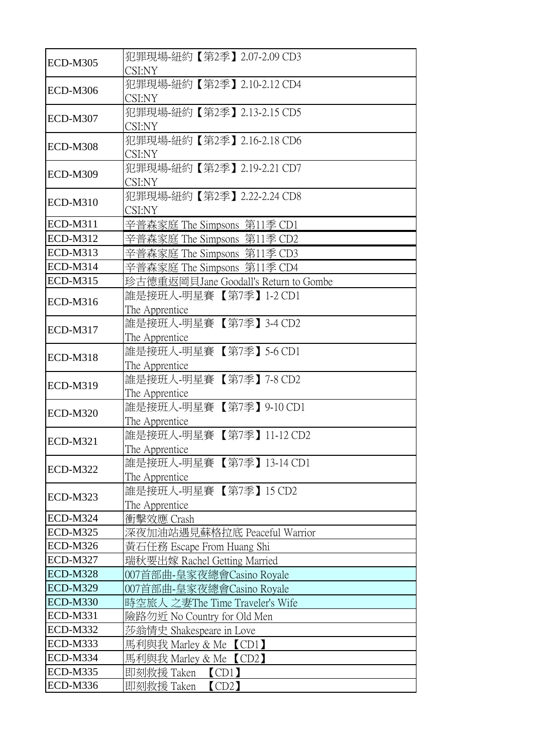| <b>ECD-M305</b> | 犯罪現場-紐約【第2季】2.07-2.09 CD3<br>CSI:NY        |
|-----------------|--------------------------------------------|
| <b>ECD-M306</b> | 犯罪現場-紐約【第2季】2.10-2.12 CD4<br>CSI:NY        |
| <b>ECD-M307</b> | 犯罪現場-紐約【第2季】2.13-2.15 CD5<br>CSI:NY        |
| <b>ECD-M308</b> | 犯罪現場-紐約【第2季】2.16-2.18 CD6<br>CSI:NY        |
| <b>ECD-M309</b> | 犯罪現場-紐約【第2季】2.19-2.21 CD7<br>CSI:NY        |
| <b>ECD-M310</b> | 犯罪現場-紐約【第2季】2.22-2.24 CD8<br>CSI:NY        |
| <b>ECD-M311</b> | 辛普森家庭 The Simpsons 第11季 CD1                |
| <b>ECD-M312</b> | 辛普森家庭 The Simpsons 第11季 CD2                |
| <b>ECD-M313</b> | 辛普森家庭 The Simpsons 第11季 CD3                |
| <b>ECD-M314</b> | 辛普森家庭 The Simpsons 第11季 CD4                |
| <b>ECD-M315</b> | 珍古德重返岡貝Jane Goodall's Return to Gombe      |
| <b>ECD-M316</b> | 誰是接班人-明星賽【第7季】1-2 CD1<br>The Apprentice    |
| <b>ECD-M317</b> | 誰是接班人-明星賽【第7季】 3-4 CD2<br>The Apprentice   |
| <b>ECD-M318</b> | 誰是接班人-明星賽【第7季】5-6 CD1<br>The Apprentice    |
| <b>ECD-M319</b> | 誰是接班人-明星賽【第7季】7-8 CD2<br>The Apprentice    |
| <b>ECD-M320</b> | 誰是接班人-明星賽【第7季】9-10 CD1<br>The Apprentice   |
| <b>ECD-M321</b> | 誰是接班人-明星賽 【第7季】11-12 CD2<br>The Apprentice |
| <b>ECD-M322</b> | 誰是接班人-明星賽【第7季】13-14 CD1<br>The Apprentice  |
| <b>ECD-M323</b> | 誰是接班人-明星賽 【第7季】 15 CD2<br>The Apprentice   |
| ECD-M324        | 衝擊效應 Crash                                 |
| <b>ECD-M325</b> | 深夜加油站遇見蘇格拉底 Peaceful Warrior               |
| <b>ECD-M326</b> | 黃石任務 Escape From Huang Shi                 |
| <b>ECD-M327</b> | 瑞秋要出嫁 Rachel Getting Married               |
| <b>ECD-M328</b> | 007首部曲-皇家夜總會Casino Royale                  |
| <b>ECD-M329</b> | 007首部曲-皇家夜總會Casino Royale                  |
| <b>ECD-M330</b> | 時空旅人 之妻The Time Traveler's Wife            |
| <b>ECD-M331</b> | 險路勿近 No Country for Old Men                |
| <b>ECD-M332</b> | 莎翁情史 Shakespeare in Love                   |
| <b>ECD-M333</b> | 馬利與我 Marley & Me 【CD1】                     |
| <b>ECD-M334</b> | 馬利與我 Marley & Me 【CD2】                     |
| <b>ECD-M335</b> | 即刻救援 Taken<br>$\overline{CD1}$             |
| <b>ECD-M336</b> | 即刻救援 Taken<br>$\text{CD2}$                 |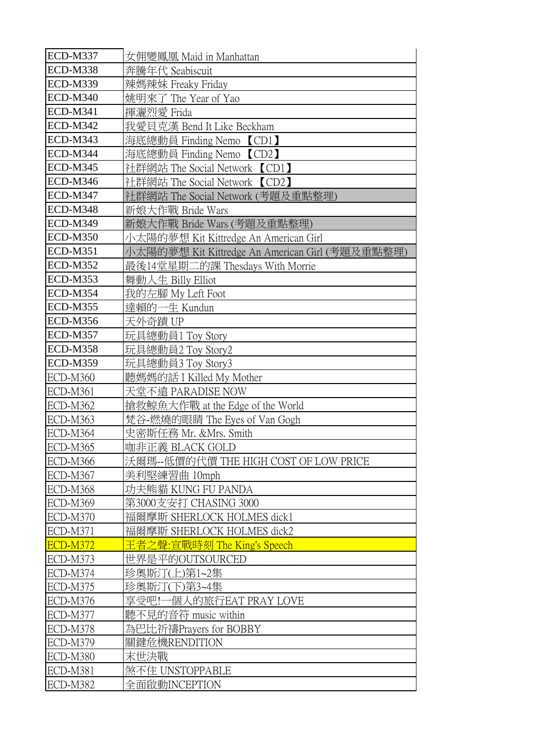| <b>ECD-M337</b> | 女佣變鳳凰 Maid in Manhattan                         |
|-----------------|-------------------------------------------------|
| <b>ECD-M338</b> | 奔騰年代 Seabiscuit                                 |
| <b>ECD-M339</b> | 辣媽辣妹 Freaky Friday                              |
| <b>ECD-M340</b> | 姚明來了 The Year of Yao                            |
| <b>ECD-M341</b> | 揮灑烈愛 Frida                                      |
| <b>ECD-M342</b> | 我愛貝克漢 Bend It Like Beckham                      |
| <b>ECD-M343</b> | 海底總動員 Finding Nemo 【CD1】                        |
| ECD-M344        | 海底總動員 Finding Nemo 【CD2】                        |
| <b>ECD-M345</b> | 社群網站 The Social Network 【CD1】                   |
| <b>ECD-M346</b> | 社群網站 The Social Network 【CD2】                   |
| <b>ECD-M347</b> | 社群網站 The Social Network (考題及重點整理)               |
| <b>ECD-M348</b> | 新娘大作戰 Bride Wars                                |
| <b>ECD-M349</b> | 新娘大作戰 Bride Wars (考題及重點整理)                      |
| <b>ECD-M350</b> | 小太陽的夢想 Kit Kittredge An American Girl           |
| <b>ECD-M351</b> | 小太陽的夢想 Kit Kittredge An American Girl (考題及重點整理) |
| <b>ECD-M352</b> | 最後14堂星期二的課 Thesdays With Morrie                 |
| <b>ECD-M353</b> | 舞動人生 Billy Elliot                               |
| <b>ECD-M354</b> | 我的左腳 My Left Foot                               |
| <b>ECD-M355</b> | 達賴的一生 Kundun                                    |
| <b>ECD-M356</b> | 天外奇蹟 UP                                         |
| <b>ECD-M357</b> | 玩具總動員1 Toy Story                                |
| <b>ECD-M358</b> | 玩具總動員2 Toy Story2                               |
| <b>ECD-M359</b> | 玩具總動員3 Toy Story3                               |
| <b>ECD-M360</b> | 聽媽媽的話 I Killed My Mother                        |
| <b>ECD-M361</b> | 天堂不遠 PARADISE NOW                               |
| <b>ECD-M362</b> | 搶救鯨魚大作戰 at the Edge of the World                |
| ECD-M363        | 梵谷-燃燒的眼睛 The Eyes of Van Gogh                   |
| ECD-M364        | 史密斯任務 Mr. &Mrs. Smith                           |
| ECD-M365        | 咖非正義 BLACK GOLD                                 |
| <b>ECD-M366</b> | 沃爾瑪--低價的代價 THE HIGH COST OF LOW PRICE           |
| ECD-M367        | 美利堅練習曲 10mph                                    |
| ECD-M368        | 功夫熊貓 KUNG FU PANDA                              |
| <b>ECD-M369</b> | 第3000支安打 CHASING 3000                           |
| <b>ECD-M370</b> | 福爾摩斯 SHERLOCK HOLMES dick1                      |
| <b>ECD-M371</b> | 福爾摩斯 SHERLOCK HOLMES dick2                      |
| <b>ECD-M372</b> | 王者之聲:宣戰時刻 The King's Speech                     |
| ECD-M373        | 世界是平的OUTSOURCED                                 |
| ECD-M374        | 珍奧斯汀(上)第1~2集                                    |
| <b>ECD-M375</b> | 珍奧斯汀(下)第3~4集                                    |
| ECD-M376        | 享受吧!一個人的旅行EAT PRAY LOVE                         |
| ECD-M377        | 聽不見的音符 music within                             |
| ECD-M378        | 為巴比祈禱Prayers for BOBBY                          |
| <b>ECD-M379</b> | 關鍵危機RENDITION                                   |
| ECD-M380        | 末世決戰                                            |
| <b>ECD-M381</b> | 煞不住 UNSTOPPABLE                                 |
| ECD-M382        | 全面啟動INCEPTION                                   |